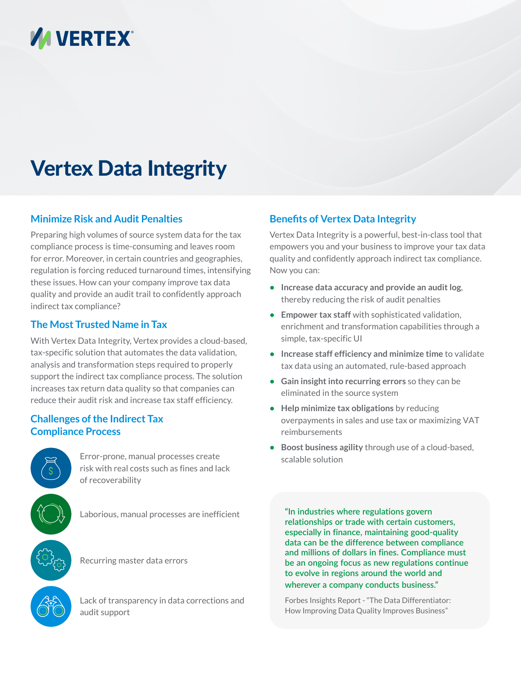# **VA VERTEX®**

# Vertex Data Integrity

## **Minimize Risk and Audit Penalties**

Preparing high volumes of source system data for the tax compliance process is time-consuming and leaves room for error. Moreover, in certain countries and geographies, regulation is forcing reduced turnaround times, intensifying these issues. How can your company improve tax data quality and provide an audit trail to confidently approach indirect tax compliance?

## **The Most Trusted Name in Tax**

With Vertex Data Integrity, Vertex provides a cloud-based, tax-specific solution that automates the data validation, analysis and transformation steps required to properly support the indirect tax compliance process. The solution increases tax return data quality so that companies can reduce their audit risk and increase tax staff efficiency.

## **Challenges of the Indirect Tax Compliance Process**



Error-prone, manual processes create risk with real costs such as fines and lack of recoverability

Laborious, manual processes are inefficient

Recurring master data errors

Lack of transparency in data corrections and audit support

## **Benefits of Vertex Data Integrity**

Vertex Data Integrity is a powerful, best-in-class tool that empowers you and your business to improve your tax data quality and confidently approach indirect tax compliance. Now you can:

- **• Increase data accuracy and provide an audit log**, thereby reducing the risk of audit penalties
- **• Empower tax staff** with sophisticated validation, enrichment and transformation capabilities through a simple, tax-specific UI
- **• Increase staff efficiency and minimize time** to validate tax data using an automated, rule-based approach
- **• Gain insight into recurring errors** so they can be eliminated in the source system
- **• Help minimize tax obligations** by reducing overpayments in sales and use tax or maximizing VAT reimbursements
- **• Boost business agility** through use of a cloud-based, scalable solution

**"In industries where regulations govern relationships or trade with certain customers, especially in finance, maintaining good-quality data can be the difference between compliance and millions of dollars in fines. Compliance must be an ongoing focus as new regulations continue to evolve in regions around the world and wherever a company conducts business."**

Forbes Insights Report - "The Data Differentiator: How Improving Data Quality Improves Business"